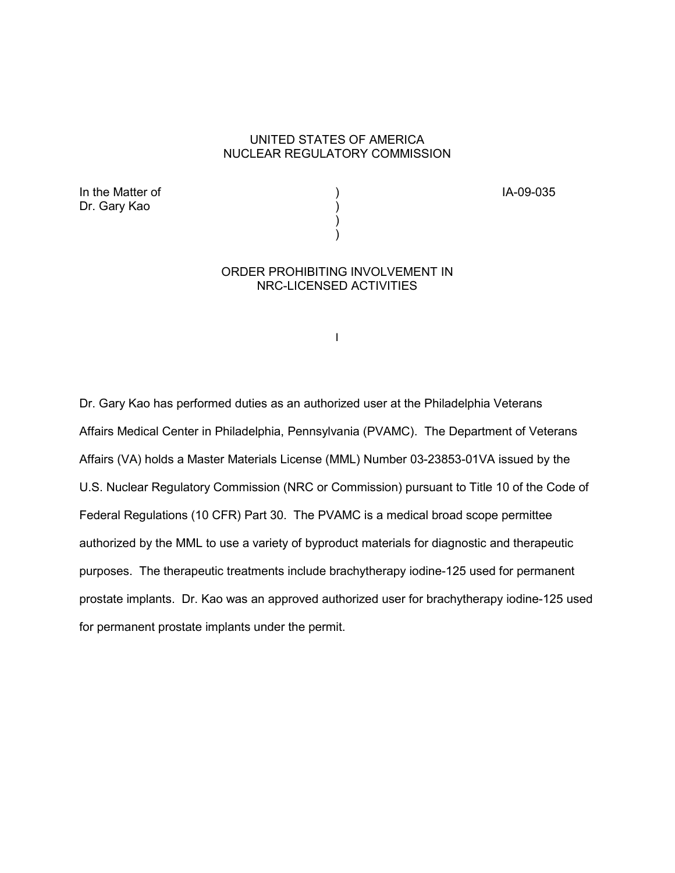## UNITED STATES OF AMERICA NUCLEAR REGULATORY COMMISSION

In the Matter of ) IA-09-035 Dr. Gary Kao (1999)

) and the contract of  $\mathcal{L}$ ) and the contract of  $\mathcal{L}$ 

## ORDER PROHIBITING INVOLVEMENT IN NRC-LICENSED ACTIVITIES

I

Dr. Gary Kao has performed duties as an authorized user at the Philadelphia Veterans Affairs Medical Center in Philadelphia, Pennsylvania (PVAMC). The Department of Veterans Affairs (VA) holds a Master Materials License (MML) Number 03-23853-01VA issued by the U.S. Nuclear Regulatory Commission (NRC or Commission) pursuant to Title 10 of the Code of Federal Regulations (10 CFR) Part 30. The PVAMC is a medical broad scope permittee authorized by the MML to use a variety of byproduct materials for diagnostic and therapeutic purposes. The therapeutic treatments include brachytherapy iodine-125 used for permanent prostate implants. Dr. Kao was an approved authorized user for brachytherapy iodine-125 used for permanent prostate implants under the permit.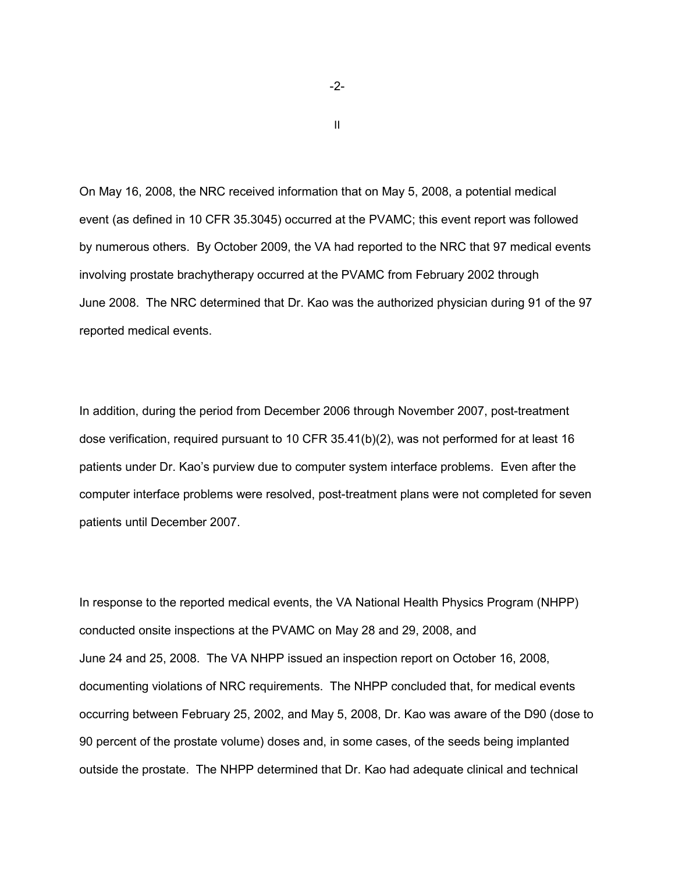On May 16, 2008, the NRC received information that on May 5, 2008, a potential medical event (as defined in 10 CFR 35.3045) occurred at the PVAMC; this event report was followed by numerous others. By October 2009, the VA had reported to the NRC that 97 medical events involving prostate brachytherapy occurred at the PVAMC from February 2002 through June 2008. The NRC determined that Dr. Kao was the authorized physician during 91 of the 97 reported medical events.

In addition, during the period from December 2006 through November 2007, post-treatment dose verification, required pursuant to 10 CFR 35.41(b)(2), was not performed for at least 16 patients under Dr. Kao's purview due to computer system interface problems. Even after the computer interface problems were resolved, post-treatment plans were not completed for seven patients until December 2007.

In response to the reported medical events, the VA National Health Physics Program (NHPP) conducted onsite inspections at the PVAMC on May 28 and 29, 2008, and June 24 and 25, 2008. The VA NHPP issued an inspection report on October 16, 2008, documenting violations of NRC requirements. The NHPP concluded that, for medical events occurring between February 25, 2002, and May 5, 2008, Dr. Kao was aware of the D90 (dose to 90 percent of the prostate volume) doses and, in some cases, of the seeds being implanted outside the prostate. The NHPP determined that Dr. Kao had adequate clinical and technical

-2-

II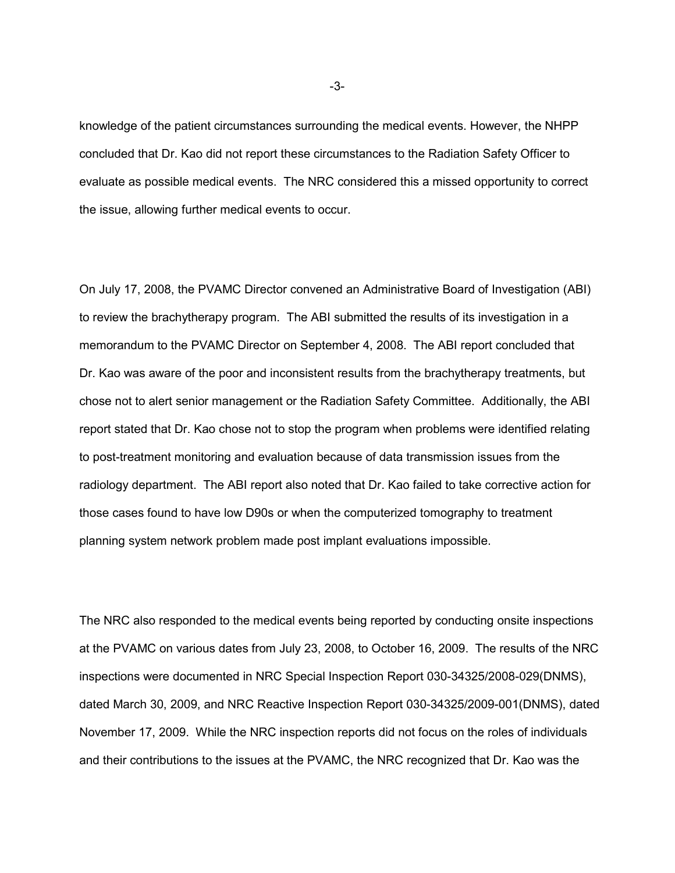knowledge of the patient circumstances surrounding the medical events. However, the NHPP concluded that Dr. Kao did not report these circumstances to the Radiation Safety Officer to evaluate as possible medical events. The NRC considered this a missed opportunity to correct the issue, allowing further medical events to occur.

On July 17, 2008, the PVAMC Director convened an Administrative Board of Investigation (ABI) to review the brachytherapy program. The ABI submitted the results of its investigation in a memorandum to the PVAMC Director on September 4, 2008. The ABI report concluded that Dr. Kao was aware of the poor and inconsistent results from the brachytherapy treatments, but chose not to alert senior management or the Radiation Safety Committee. Additionally, the ABI report stated that Dr. Kao chose not to stop the program when problems were identified relating to post-treatment monitoring and evaluation because of data transmission issues from the radiology department. The ABI report also noted that Dr. Kao failed to take corrective action for those cases found to have low D90s or when the computerized tomography to treatment planning system network problem made post implant evaluations impossible.

The NRC also responded to the medical events being reported by conducting onsite inspections at the PVAMC on various dates from July 23, 2008, to October 16, 2009. The results of the NRC inspections were documented in NRC Special Inspection Report 030-34325/2008-029(DNMS), dated March 30, 2009, and NRC Reactive Inspection Report 030-34325/2009-001(DNMS), dated November 17, 2009. While the NRC inspection reports did not focus on the roles of individuals and their contributions to the issues at the PVAMC, the NRC recognized that Dr. Kao was the

-3-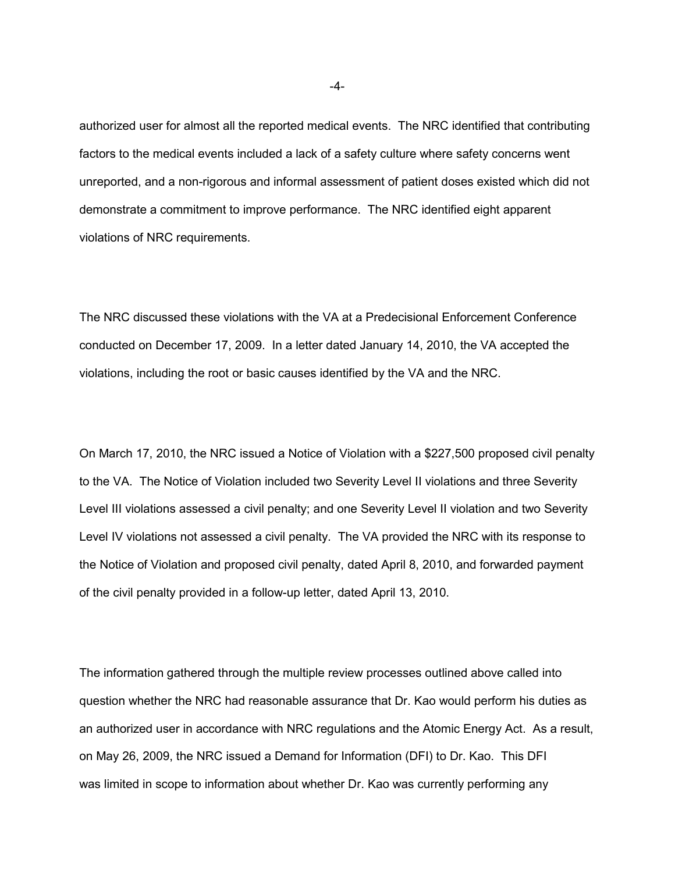authorized user for almost all the reported medical events. The NRC identified that contributing factors to the medical events included a lack of a safety culture where safety concerns went unreported, and a non-rigorous and informal assessment of patient doses existed which did not demonstrate a commitment to improve performance. The NRC identified eight apparent violations of NRC requirements.

The NRC discussed these violations with the VA at a Predecisional Enforcement Conference conducted on December 17, 2009. In a letter dated January 14, 2010, the VA accepted the violations, including the root or basic causes identified by the VA and the NRC.

On March 17, 2010, the NRC issued a Notice of Violation with a \$227,500 proposed civil penalty to the VA. The Notice of Violation included two Severity Level II violations and three Severity Level III violations assessed a civil penalty; and one Severity Level II violation and two Severity Level IV violations not assessed a civil penalty. The VA provided the NRC with its response to the Notice of Violation and proposed civil penalty, dated April 8, 2010, and forwarded payment of the civil penalty provided in a follow-up letter, dated April 13, 2010.

The information gathered through the multiple review processes outlined above called into question whether the NRC had reasonable assurance that Dr. Kao would perform his duties as an authorized user in accordance with NRC regulations and the Atomic Energy Act. As a result, on May 26, 2009, the NRC issued a Demand for Information (DFI) to Dr. Kao. This DFI was limited in scope to information about whether Dr. Kao was currently performing any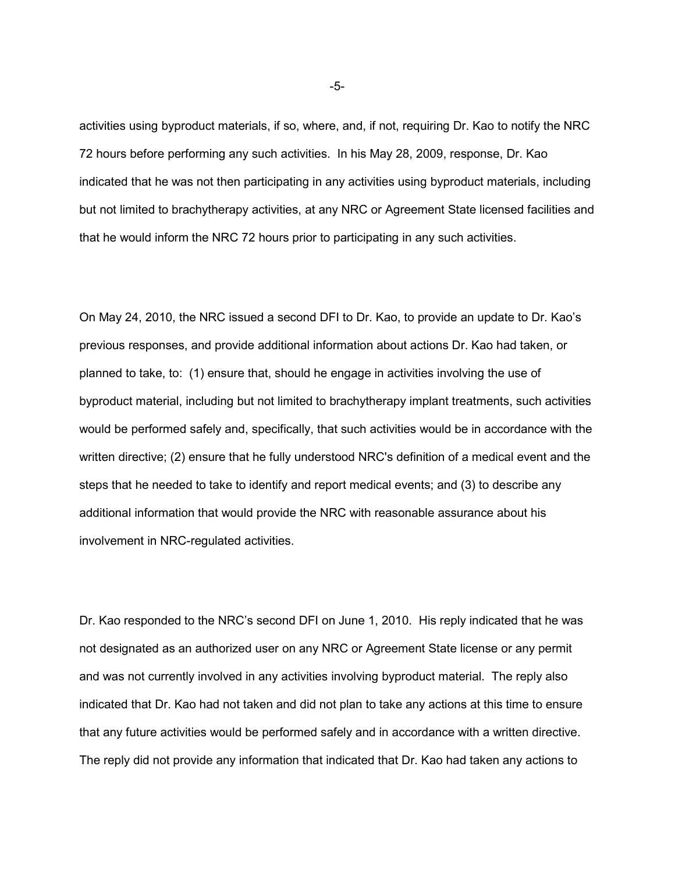activities using byproduct materials, if so, where, and, if not, requiring Dr. Kao to notify the NRC 72 hours before performing any such activities. In his May 28, 2009, response, Dr. Kao indicated that he was not then participating in any activities using byproduct materials, including but not limited to brachytherapy activities, at any NRC or Agreement State licensed facilities and that he would inform the NRC 72 hours prior to participating in any such activities.

On May 24, 2010, the NRC issued a second DFI to Dr. Kao, to provide an update to Dr. Kao's previous responses, and provide additional information about actions Dr. Kao had taken, or planned to take, to: (1) ensure that, should he engage in activities involving the use of byproduct material, including but not limited to brachytherapy implant treatments, such activities would be performed safely and, specifically, that such activities would be in accordance with the written directive; (2) ensure that he fully understood NRC's definition of a medical event and the steps that he needed to take to identify and report medical events; and (3) to describe any additional information that would provide the NRC with reasonable assurance about his involvement in NRC-regulated activities.

Dr. Kao responded to the NRC's second DFI on June 1, 2010. His reply indicated that he was not designated as an authorized user on any NRC or Agreement State license or any permit and was not currently involved in any activities involving byproduct material. The reply also indicated that Dr. Kao had not taken and did not plan to take any actions at this time to ensure that any future activities would be performed safely and in accordance with a written directive. The reply did not provide any information that indicated that Dr. Kao had taken any actions to

-5-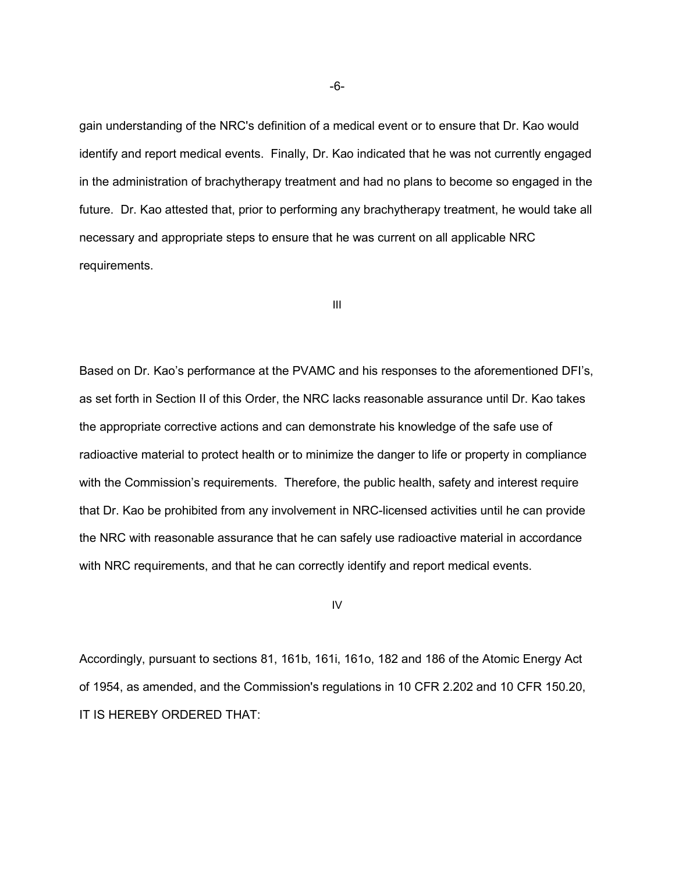gain understanding of the NRC's definition of a medical event or to ensure that Dr. Kao would identify and report medical events. Finally, Dr. Kao indicated that he was not currently engaged in the administration of brachytherapy treatment and had no plans to become so engaged in the future. Dr. Kao attested that, prior to performing any brachytherapy treatment, he would take all necessary and appropriate steps to ensure that he was current on all applicable NRC requirements.

III

Based on Dr. Kao's performance at the PVAMC and his responses to the aforementioned DFI's, as set forth in Section II of this Order, the NRC lacks reasonable assurance until Dr. Kao takes the appropriate corrective actions and can demonstrate his knowledge of the safe use of radioactive material to protect health or to minimize the danger to life or property in compliance with the Commission's requirements. Therefore, the public health, safety and interest require that Dr. Kao be prohibited from any involvement in NRC-licensed activities until he can provide the NRC with reasonable assurance that he can safely use radioactive material in accordance with NRC requirements, and that he can correctly identify and report medical events.

IV

Accordingly, pursuant to sections 81, 161b, 161i, 161o, 182 and 186 of the Atomic Energy Act of 1954, as amended, and the Commission's regulations in 10 CFR 2.202 and 10 CFR 150.20, IT IS HEREBY ORDERED THAT: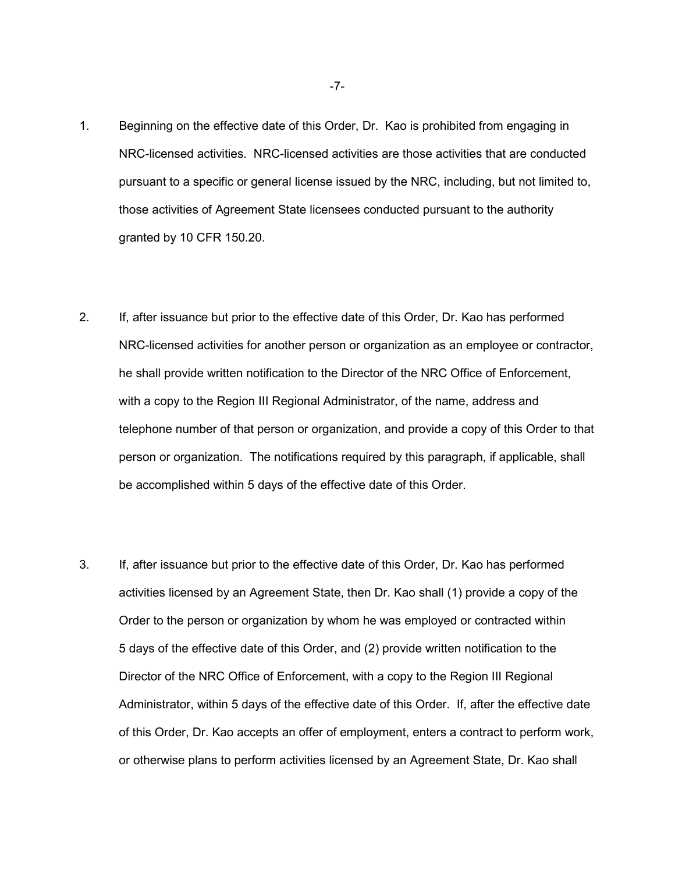- 1. Beginning on the effective date of this Order, Dr. Kao is prohibited from engaging in NRC-licensed activities. NRC-licensed activities are those activities that are conducted pursuant to a specific or general license issued by the NRC, including, but not limited to, those activities of Agreement State licensees conducted pursuant to the authority granted by 10 CFR 150.20.
- 2. If, after issuance but prior to the effective date of this Order, Dr. Kao has performed NRC-licensed activities for another person or organization as an employee or contractor, he shall provide written notification to the Director of the NRC Office of Enforcement, with a copy to the Region III Regional Administrator, of the name, address and telephone number of that person or organization, and provide a copy of this Order to that person or organization. The notifications required by this paragraph, if applicable, shall be accomplished within 5 days of the effective date of this Order.
- 3. If, after issuance but prior to the effective date of this Order, Dr. Kao has performed activities licensed by an Agreement State, then Dr. Kao shall (1) provide a copy of the Order to the person or organization by whom he was employed or contracted within 5 days of the effective date of this Order, and (2) provide written notification to the Director of the NRC Office of Enforcement, with a copy to the Region III Regional Administrator, within 5 days of the effective date of this Order. If, after the effective date of this Order, Dr. Kao accepts an offer of employment, enters a contract to perform work, or otherwise plans to perform activities licensed by an Agreement State, Dr. Kao shall

-7-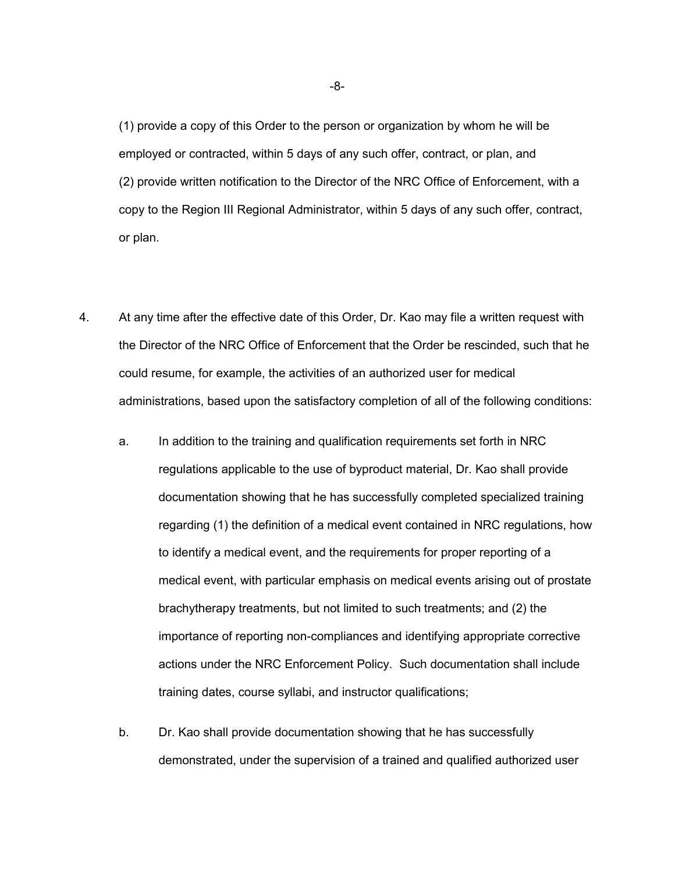(1) provide a copy of this Order to the person or organization by whom he will be employed or contracted, within 5 days of any such offer, contract, or plan, and (2) provide written notification to the Director of the NRC Office of Enforcement, with a copy to the Region III Regional Administrator, within 5 days of any such offer, contract, or plan.

- 4. At any time after the effective date of this Order, Dr. Kao may file a written request with the Director of the NRC Office of Enforcement that the Order be rescinded, such that he could resume, for example, the activities of an authorized user for medical administrations, based upon the satisfactory completion of all of the following conditions:
	- a. In addition to the training and qualification requirements set forth in NRC regulations applicable to the use of byproduct material, Dr. Kao shall provide documentation showing that he has successfully completed specialized training regarding (1) the definition of a medical event contained in NRC regulations, how to identify a medical event, and the requirements for proper reporting of a medical event, with particular emphasis on medical events arising out of prostate brachytherapy treatments, but not limited to such treatments; and (2) the importance of reporting non-compliances and identifying appropriate corrective actions under the NRC Enforcement Policy. Such documentation shall include training dates, course syllabi, and instructor qualifications;
	- b. Dr. Kao shall provide documentation showing that he has successfully demonstrated, under the supervision of a trained and qualified authorized user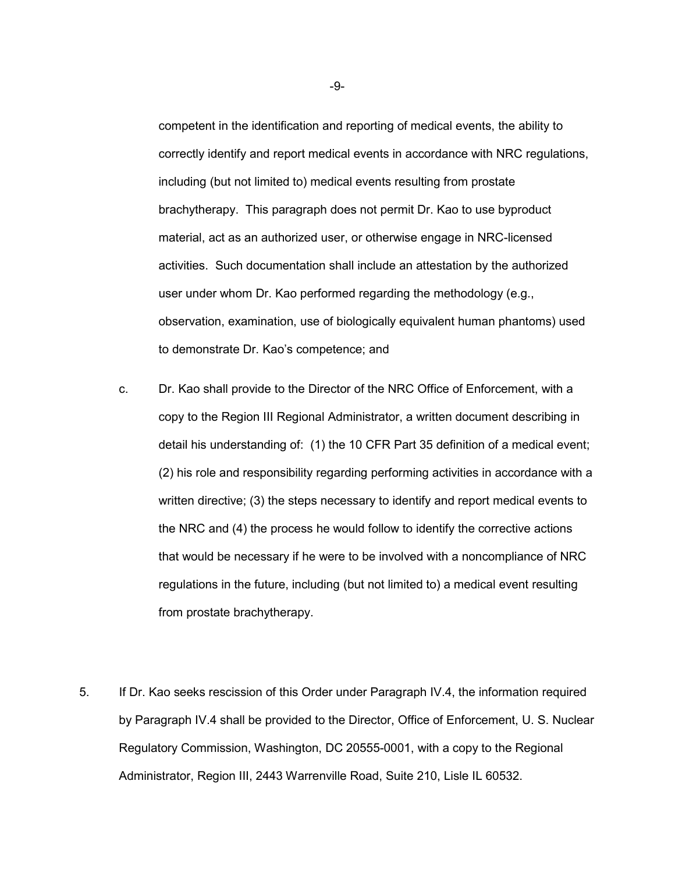competent in the identification and reporting of medical events, the ability to correctly identify and report medical events in accordance with NRC regulations, including (but not limited to) medical events resulting from prostate brachytherapy. This paragraph does not permit Dr. Kao to use byproduct material, act as an authorized user, or otherwise engage in NRC-licensed activities. Such documentation shall include an attestation by the authorized user under whom Dr. Kao performed regarding the methodology (e.g., observation, examination, use of biologically equivalent human phantoms) used to demonstrate Dr. Kao's competence; and

- c. Dr. Kao shall provide to the Director of the NRC Office of Enforcement, with a copy to the Region III Regional Administrator, a written document describing in detail his understanding of: (1) the 10 CFR Part 35 definition of a medical event; (2) his role and responsibility regarding performing activities in accordance with a written directive; (3) the steps necessary to identify and report medical events to the NRC and (4) the process he would follow to identify the corrective actions that would be necessary if he were to be involved with a noncompliance of NRC regulations in the future, including (but not limited to) a medical event resulting from prostate brachytherapy.
- 5. If Dr. Kao seeks rescission of this Order under Paragraph IV.4, the information required by Paragraph IV.4 shall be provided to the Director, Office of Enforcement, U. S. Nuclear Regulatory Commission, Washington, DC 20555-0001, with a copy to the Regional Administrator, Region III, 2443 Warrenville Road, Suite 210, Lisle IL 60532.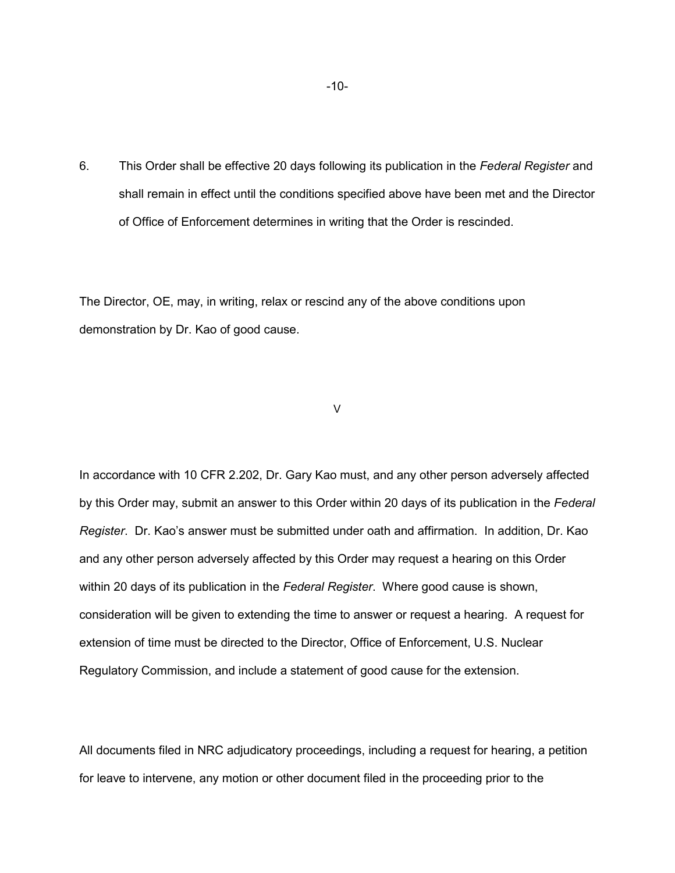6. This Order shall be effective 20 days following its publication in the *Federal Register* and shall remain in effect until the conditions specified above have been met and the Director of Office of Enforcement determines in writing that the Order is rescinded.

The Director, OE, may, in writing, relax or rescind any of the above conditions upon demonstration by Dr. Kao of good cause.

## V

In accordance with 10 CFR 2.202, Dr. Gary Kao must, and any other person adversely affected by this Order may, submit an answer to this Order within 20 days of its publication in the *Federal Register*. Dr. Kao's answer must be submitted under oath and affirmation. In addition, Dr. Kao and any other person adversely affected by this Order may request a hearing on this Order within 20 days of its publication in the *Federal Register*. Where good cause is shown, consideration will be given to extending the time to answer or request a hearing. A request for extension of time must be directed to the Director, Office of Enforcement, U.S. Nuclear Regulatory Commission, and include a statement of good cause for the extension.

All documents filed in NRC adjudicatory proceedings, including a request for hearing, a petition for leave to intervene, any motion or other document filed in the proceeding prior to the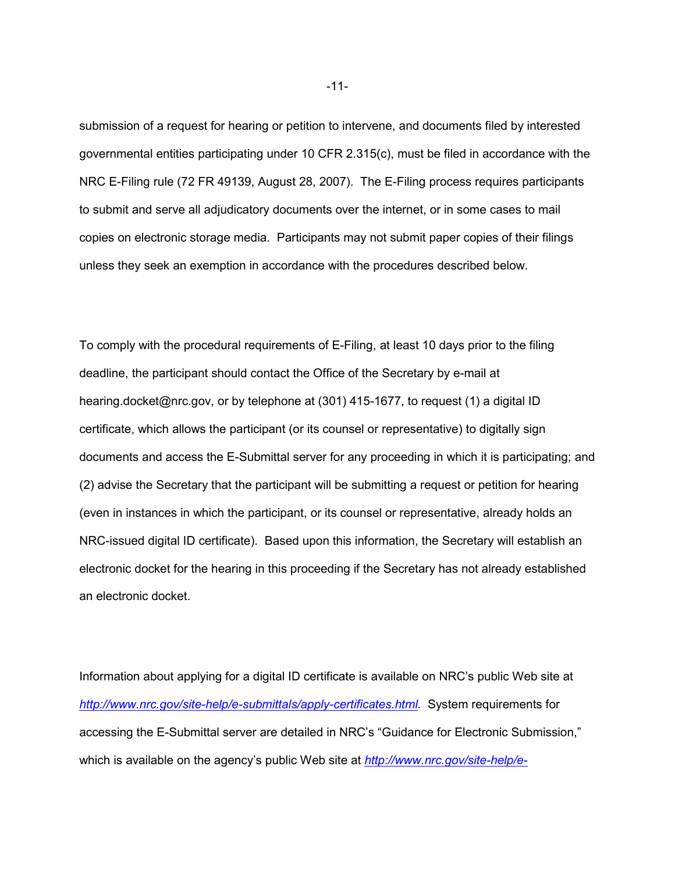submission of a request for hearing or petition to intervene, and documents filed by interested governmental entities participating under 10 CFR 2.315(c), must be filed in accordance with the NRC E-Filing rule (72 FR 49139, August 28, 2007). The E-Filing process requires participants to submit and serve all adjudicatory documents over the internet, or in some cases to mail copies on electronic storage media. Participants may not submit paper copies of their filings unless they seek an exemption in accordance with the procedures described below.

To comply with the procedural requirements of E-Filing, at least 10 days prior to the filing deadline, the participant should contact the Office of the Secretary by e-mail at hearing.docket@nrc.gov, or by telephone at (301) 415-1677, to request (1) a digital ID certificate, which allows the participant (or its counsel or representative) to digitally sign documents and access the E-Submittal server for any proceeding in which it is participating; and (2) advise the Secretary that the participant will be submitting a request or petition for hearing (even in instances in which the participant, or its counsel or representative, already holds an NRC-issued digital ID certificate). Based upon this information, the Secretary will establish an electronic docket for the hearing in this proceeding if the Secretary has not already established an electronic docket.

Information about applying for a digital ID certificate is available on NRC's public Web site at *http://www.nrc.gov/site-help/e-submittals/apply-certificates.html*. System requirements for accessing the E-Submittal server are detailed in NRC's "Guidance for Electronic Submission," which is available on the agency's public Web site at *http://www.nrc.gov/site-help/e-*

-11-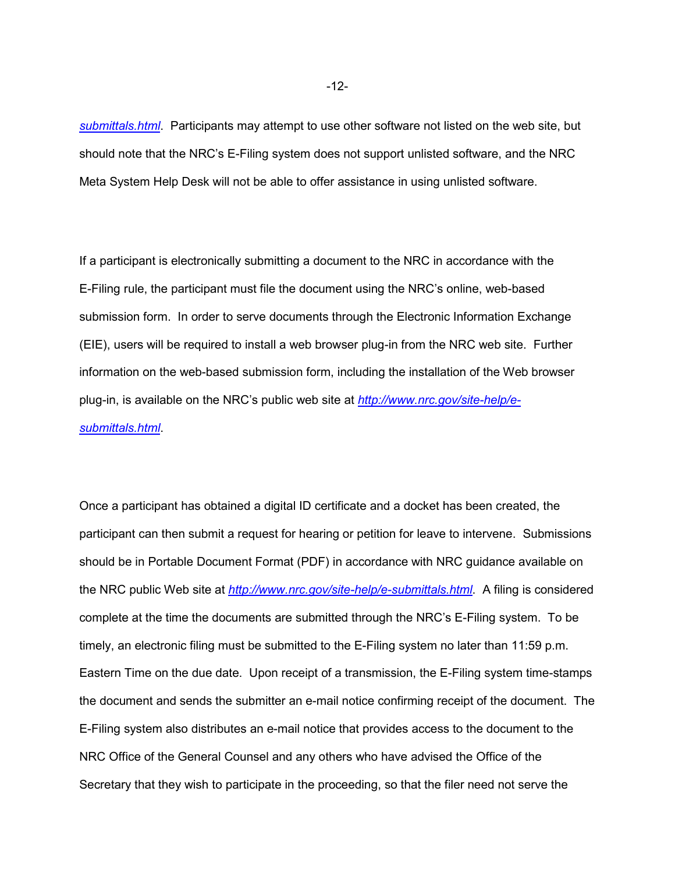*submittals.html*. Participants may attempt to use other software not listed on the web site, but should note that the NRC's E-Filing system does not support unlisted software, and the NRC Meta System Help Desk will not be able to offer assistance in using unlisted software.

If a participant is electronically submitting a document to the NRC in accordance with the E-Filing rule, the participant must file the document using the NRC's online, web-based submission form. In order to serve documents through the Electronic Information Exchange (EIE), users will be required to install a web browser plug-in from the NRC web site. Further information on the web-based submission form, including the installation of the Web browser plug-in, is available on the NRC's public web site at *http://www.nrc.gov/site-help/esubmittals.html*.

Once a participant has obtained a digital ID certificate and a docket has been created, the participant can then submit a request for hearing or petition for leave to intervene. Submissions should be in Portable Document Format (PDF) in accordance with NRC guidance available on the NRC public Web site at *http://www.nrc.gov/site-help/e-submittals.html*. A filing is considered complete at the time the documents are submitted through the NRC's E-Filing system. To be timely, an electronic filing must be submitted to the E-Filing system no later than 11:59 p.m. Eastern Time on the due date. Upon receipt of a transmission, the E-Filing system time-stamps the document and sends the submitter an e-mail notice confirming receipt of the document. The E-Filing system also distributes an e-mail notice that provides access to the document to the NRC Office of the General Counsel and any others who have advised the Office of the Secretary that they wish to participate in the proceeding, so that the filer need not serve the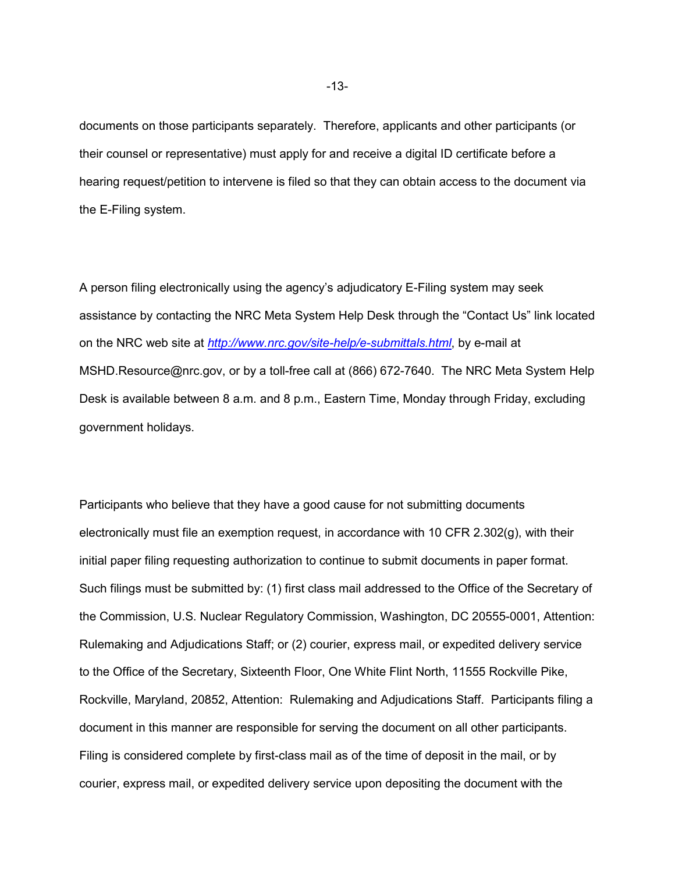documents on those participants separately. Therefore, applicants and other participants (or their counsel or representative) must apply for and receive a digital ID certificate before a hearing request/petition to intervene is filed so that they can obtain access to the document via the E-Filing system.

A person filing electronically using the agency's adjudicatory E-Filing system may seek assistance by contacting the NRC Meta System Help Desk through the "Contact Us" link located on the NRC web site at *http://www.nrc.gov/site-help/e-submittals.html*, by e-mail at MSHD.Resource@nrc.gov, or by a toll-free call at (866) 672-7640. The NRC Meta System Help Desk is available between 8 a.m. and 8 p.m., Eastern Time, Monday through Friday, excluding government holidays.

Participants who believe that they have a good cause for not submitting documents electronically must file an exemption request, in accordance with 10 CFR 2.302(g), with their initial paper filing requesting authorization to continue to submit documents in paper format. Such filings must be submitted by: (1) first class mail addressed to the Office of the Secretary of the Commission, U.S. Nuclear Regulatory Commission, Washington, DC 20555-0001, Attention: Rulemaking and Adjudications Staff; or (2) courier, express mail, or expedited delivery service to the Office of the Secretary, Sixteenth Floor, One White Flint North, 11555 Rockville Pike, Rockville, Maryland, 20852, Attention: Rulemaking and Adjudications Staff. Participants filing a document in this manner are responsible for serving the document on all other participants. Filing is considered complete by first-class mail as of the time of deposit in the mail, or by courier, express mail, or expedited delivery service upon depositing the document with the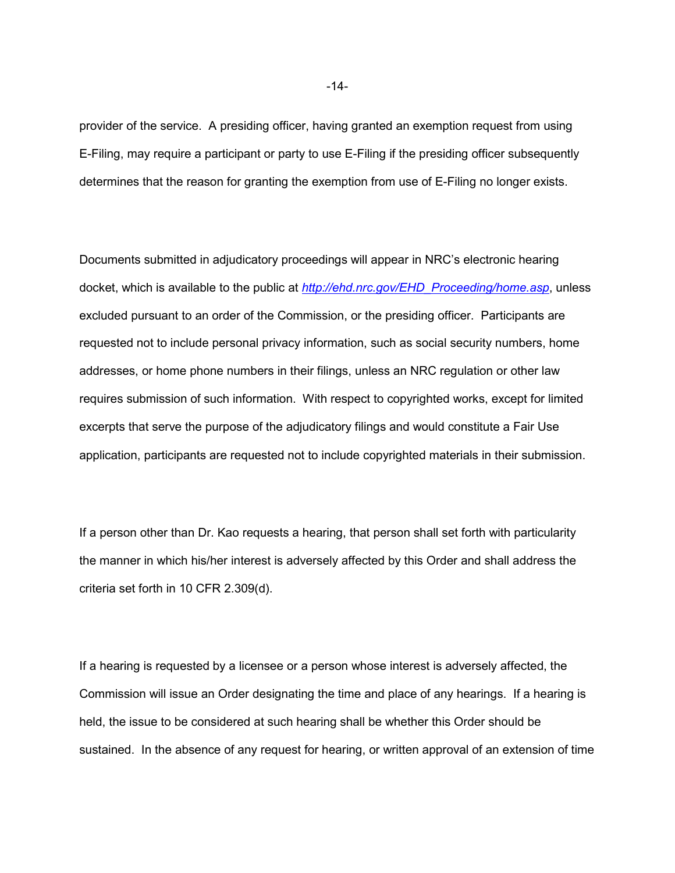provider of the service. A presiding officer, having granted an exemption request from using E-Filing, may require a participant or party to use E-Filing if the presiding officer subsequently determines that the reason for granting the exemption from use of E-Filing no longer exists.

Documents submitted in adjudicatory proceedings will appear in NRC's electronic hearing docket, which is available to the public at *http://ehd.nrc.gov/EHD\_Proceeding/home.asp*, unless excluded pursuant to an order of the Commission, or the presiding officer. Participants are requested not to include personal privacy information, such as social security numbers, home addresses, or home phone numbers in their filings, unless an NRC regulation or other law requires submission of such information. With respect to copyrighted works, except for limited excerpts that serve the purpose of the adjudicatory filings and would constitute a Fair Use application, participants are requested not to include copyrighted materials in their submission.

If a person other than Dr. Kao requests a hearing, that person shall set forth with particularity the manner in which his/her interest is adversely affected by this Order and shall address the criteria set forth in 10 CFR 2.309(d).

If a hearing is requested by a licensee or a person whose interest is adversely affected, the Commission will issue an Order designating the time and place of any hearings. If a hearing is held, the issue to be considered at such hearing shall be whether this Order should be sustained. In the absence of any request for hearing, or written approval of an extension of time